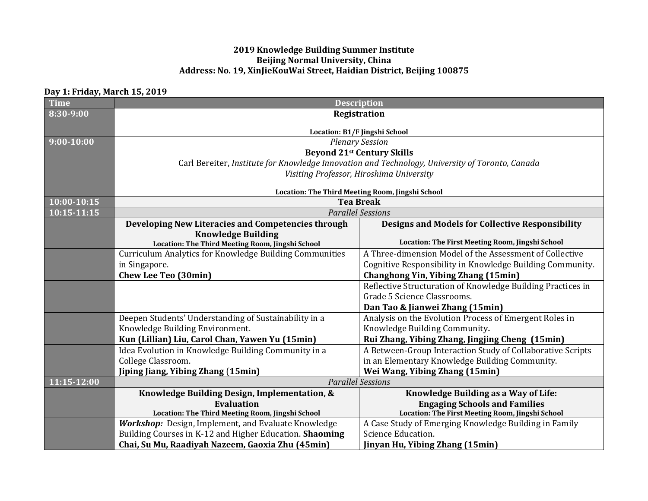## **2019 Knowledge Building Summer Institute Beijing Normal University, China Address: No. 19, XinJieKouWai Street, Haidian District, Beijing 100875**

## **Day 1: Friday, March 15, 2019**

| <b>Time</b>    | <b>Description</b>                                                                              |                                                             |  |
|----------------|-------------------------------------------------------------------------------------------------|-------------------------------------------------------------|--|
| 8:30-9:00      | Registration                                                                                    |                                                             |  |
|                |                                                                                                 |                                                             |  |
| $9:00 - 10:00$ | Location: B1/F Jingshi School                                                                   |                                                             |  |
|                | <b>Plenary Session</b>                                                                          |                                                             |  |
|                | <b>Beyond 21st Century Skills</b>                                                               |                                                             |  |
|                | Carl Bereiter, Institute for Knowledge Innovation and Technology, University of Toronto, Canada |                                                             |  |
|                | Visiting Professor, Hiroshima University                                                        |                                                             |  |
|                | Location: The Third Meeting Room, Jingshi School                                                |                                                             |  |
| 10:00-10:15    | <b>Tea Break</b>                                                                                |                                                             |  |
| 10:15-11:15    | <b>Parallel Sessions</b>                                                                        |                                                             |  |
|                | Developing New Literacies and Competencies through                                              | <b>Designs and Models for Collective Responsibility</b>     |  |
|                | <b>Knowledge Building</b>                                                                       |                                                             |  |
|                | Location: The Third Meeting Room, Jingshi School                                                | Location: The First Meeting Room, Jingshi School            |  |
|                | Curriculum Analytics for Knowledge Building Communities                                         | A Three-dimension Model of the Assessment of Collective     |  |
|                | in Singapore.                                                                                   | Cognitive Responsibility in Knowledge Building Community.   |  |
|                | <b>Chew Lee Teo (30min)</b>                                                                     | <b>Changhong Yin, Yibing Zhang (15min)</b>                  |  |
|                |                                                                                                 | Reflective Structuration of Knowledge Building Practices in |  |
|                |                                                                                                 | Grade 5 Science Classrooms.                                 |  |
|                |                                                                                                 | Dan Tao & Jianwei Zhang (15min)                             |  |
|                | Deepen Students' Understanding of Sustainability in a                                           | Analysis on the Evolution Process of Emergent Roles in      |  |
|                | Knowledge Building Environment.                                                                 | Knowledge Building Community.                               |  |
|                | Kun (Lillian) Liu, Carol Chan, Yawen Yu (15min)                                                 | Rui Zhang, Yibing Zhang, Jingjing Cheng (15min)             |  |
|                | Idea Evolution in Knowledge Building Community in a                                             | A Between-Group Interaction Study of Collaborative Scripts  |  |
|                | College Classroom.                                                                              | in an Elementary Knowledge Building Community.              |  |
|                | Jiping Jiang, Yibing Zhang (15min)                                                              | Wei Wang, Yibing Zhang (15min)                              |  |
| 11:15-12:00    |                                                                                                 | <b>Parallel Sessions</b>                                    |  |
|                | Knowledge Building Design, Implementation, &                                                    | Knowledge Building as a Way of Life:                        |  |
|                | Evaluation                                                                                      | <b>Engaging Schools and Families</b>                        |  |
|                | Location: The Third Meeting Room, Jingshi School                                                | Location: The First Meeting Room, Jingshi School            |  |
|                | <b>Workshop:</b> Design, Implement, and Evaluate Knowledge                                      | A Case Study of Emerging Knowledge Building in Family       |  |
|                | Building Courses in K-12 and Higher Education. Shaoming                                         | Science Education.                                          |  |
|                | Chai, Su Mu, Raadiyah Nazeem, Gaoxia Zhu (45min)                                                | Jinyan Hu, Yibing Zhang (15min)                             |  |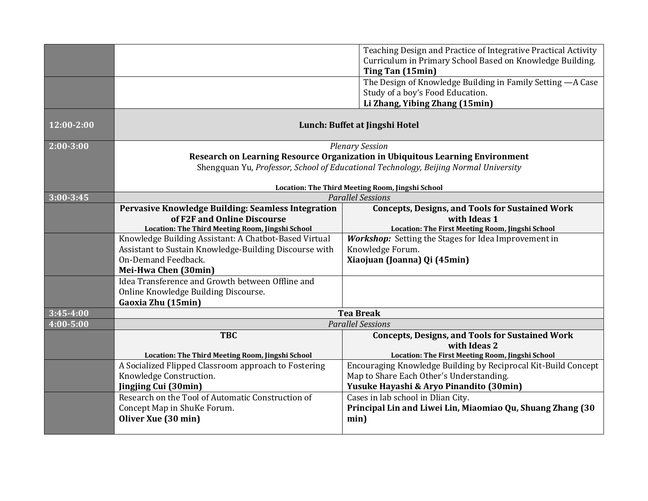|                |                                                                                                              | Teaching Design and Practice of Integrative Practical Activity<br>Curriculum in Primary School Based on Knowledge Building. |  |
|----------------|--------------------------------------------------------------------------------------------------------------|-----------------------------------------------------------------------------------------------------------------------------|--|
|                |                                                                                                              | Ting Tan (15min)                                                                                                            |  |
|                |                                                                                                              | The Design of Knowledge Building in Family Setting - A Case                                                                 |  |
|                |                                                                                                              | Study of a boy's Food Education.                                                                                            |  |
|                |                                                                                                              | Li Zhang, Yibing Zhang (15min)                                                                                              |  |
| $12:00 - 2:00$ | Lunch: Buffet at Jingshi Hotel                                                                               |                                                                                                                             |  |
| $2:00 - 3:00$  | <b>Plenary Session</b>                                                                                       |                                                                                                                             |  |
|                | Research on Learning Resource Organization in Ubiquitous Learning Environment                                |                                                                                                                             |  |
|                | Shengquan Yu, Professor, School of Educational Technology, Beijing Normal University                         |                                                                                                                             |  |
|                |                                                                                                              |                                                                                                                             |  |
|                | Location: The Third Meeting Room, Jingshi School<br><b>Parallel Sessions</b>                                 |                                                                                                                             |  |
| $3:00 - 3:45$  | Pervasive Knowledge Building: Seamless Integration<br><b>Concepts, Designs, and Tools for Sustained Work</b> |                                                                                                                             |  |
|                | of F2F and Online Discourse                                                                                  | with Ideas 1                                                                                                                |  |
|                | Location: The Third Meeting Room, Jingshi School                                                             | Location: The First Meeting Room, Jingshi School                                                                            |  |
|                | Knowledge Building Assistant: A Chatbot-Based Virtual                                                        | Workshop: Setting the Stages for Idea Improvement in                                                                        |  |
|                | Assistant to Sustain Knowledge-Building Discourse with                                                       | Knowledge Forum.                                                                                                            |  |
|                | <b>On-Demand Feedback.</b>                                                                                   | Xiaojuan (Joanna) Qi (45min)                                                                                                |  |
|                | Mei-Hwa Chen (30min)                                                                                         |                                                                                                                             |  |
|                | Idea Transference and Growth between Offline and                                                             |                                                                                                                             |  |
|                | Online Knowledge Building Discourse.                                                                         |                                                                                                                             |  |
|                | Gaoxia Zhu (15min)                                                                                           |                                                                                                                             |  |
| $3:45 - 4:00$  | <b>Tea Break</b>                                                                                             |                                                                                                                             |  |
| 4:00-5:00      | <b>Parallel Sessions</b>                                                                                     |                                                                                                                             |  |
|                | <b>TBC</b>                                                                                                   | <b>Concepts, Designs, and Tools for Sustained Work</b>                                                                      |  |
|                |                                                                                                              | with Ideas 2                                                                                                                |  |
|                | Location: The Third Meeting Room, Jingshi School<br>A Socialized Flipped Classroom approach to Fostering     | Location: The First Meeting Room, Jingshi School<br>Encouraging Knowledge Building by Reciprocal Kit-Build Concept          |  |
|                | Knowledge Construction.                                                                                      | Map to Share Each Other's Understanding.                                                                                    |  |
|                | Jingjing Cui (30min)                                                                                         | Yusuke Hayashi & Aryo Pinandito (30min)                                                                                     |  |
|                | Research on the Tool of Automatic Construction of                                                            | Cases in lab school in Dlian City.                                                                                          |  |
|                | Concept Map in ShuKe Forum.                                                                                  | Principal Lin and Liwei Lin, Miaomiao Qu, Shuang Zhang (30                                                                  |  |
|                | Oliver Xue (30 min)                                                                                          | min)                                                                                                                        |  |
|                |                                                                                                              |                                                                                                                             |  |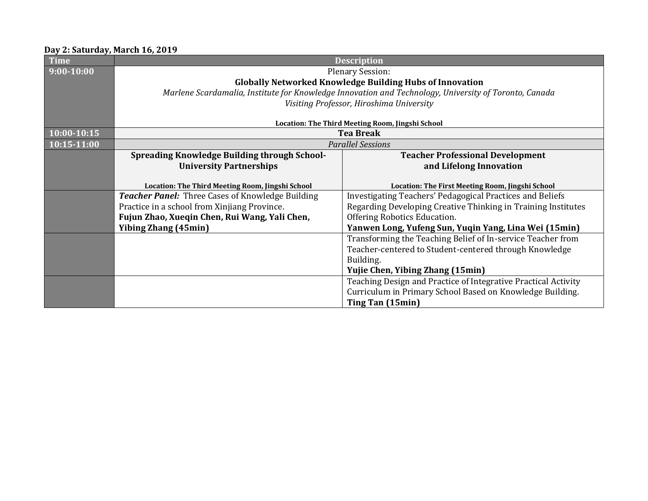## **Day 2: Saturday, March 16, 2019**

| <b>Time</b>    | <b>Description</b>                                                                                    |                                                                |  |
|----------------|-------------------------------------------------------------------------------------------------------|----------------------------------------------------------------|--|
| $9:00 - 10:00$ | <b>Plenary Session:</b>                                                                               |                                                                |  |
|                | <b>Globally Networked Knowledge Building Hubs of Innovation</b>                                       |                                                                |  |
|                | Marlene Scardamalia, Institute for Knowledge Innovation and Technology, University of Toronto, Canada |                                                                |  |
|                | Visiting Professor, Hiroshima University                                                              |                                                                |  |
|                |                                                                                                       |                                                                |  |
|                | Location: The Third Meeting Room, Jingshi School                                                      |                                                                |  |
| 10:00-10:15    | <b>Tea Break</b>                                                                                      |                                                                |  |
| 10:15-11:00    | <b>Parallel Sessions</b>                                                                              |                                                                |  |
|                | <b>Spreading Knowledge Building through School-</b>                                                   | <b>Teacher Professional Development</b>                        |  |
|                | <b>University Partnerships</b>                                                                        | and Lifelong Innovation                                        |  |
|                |                                                                                                       |                                                                |  |
|                | Location: The Third Meeting Room, Jingshi School                                                      | Location: The First Meeting Room, Jingshi School               |  |
|                | <b>Teacher Panel:</b> Three Cases of Knowledge Building                                               | Investigating Teachers' Pedagogical Practices and Beliefs      |  |
|                | Practice in a school from Xinjiang Province.                                                          | Regarding Developing Creative Thinking in Training Institutes  |  |
|                | Fujun Zhao, Xueqin Chen, Rui Wang, Yali Chen,                                                         | Offering Robotics Education.                                   |  |
|                | <b>Yibing Zhang (45min)</b>                                                                           | Yanwen Long, Yufeng Sun, Yuqin Yang, Lina Wei (15min)          |  |
|                |                                                                                                       | Transforming the Teaching Belief of In-service Teacher from    |  |
|                |                                                                                                       | Teacher-centered to Student-centered through Knowledge         |  |
|                |                                                                                                       | Building.                                                      |  |
|                |                                                                                                       | <b>Yujie Chen, Yibing Zhang (15min)</b>                        |  |
|                |                                                                                                       | Teaching Design and Practice of Integrative Practical Activity |  |
|                |                                                                                                       | Curriculum in Primary School Based on Knowledge Building.      |  |
|                |                                                                                                       | Ting Tan (15min)                                               |  |